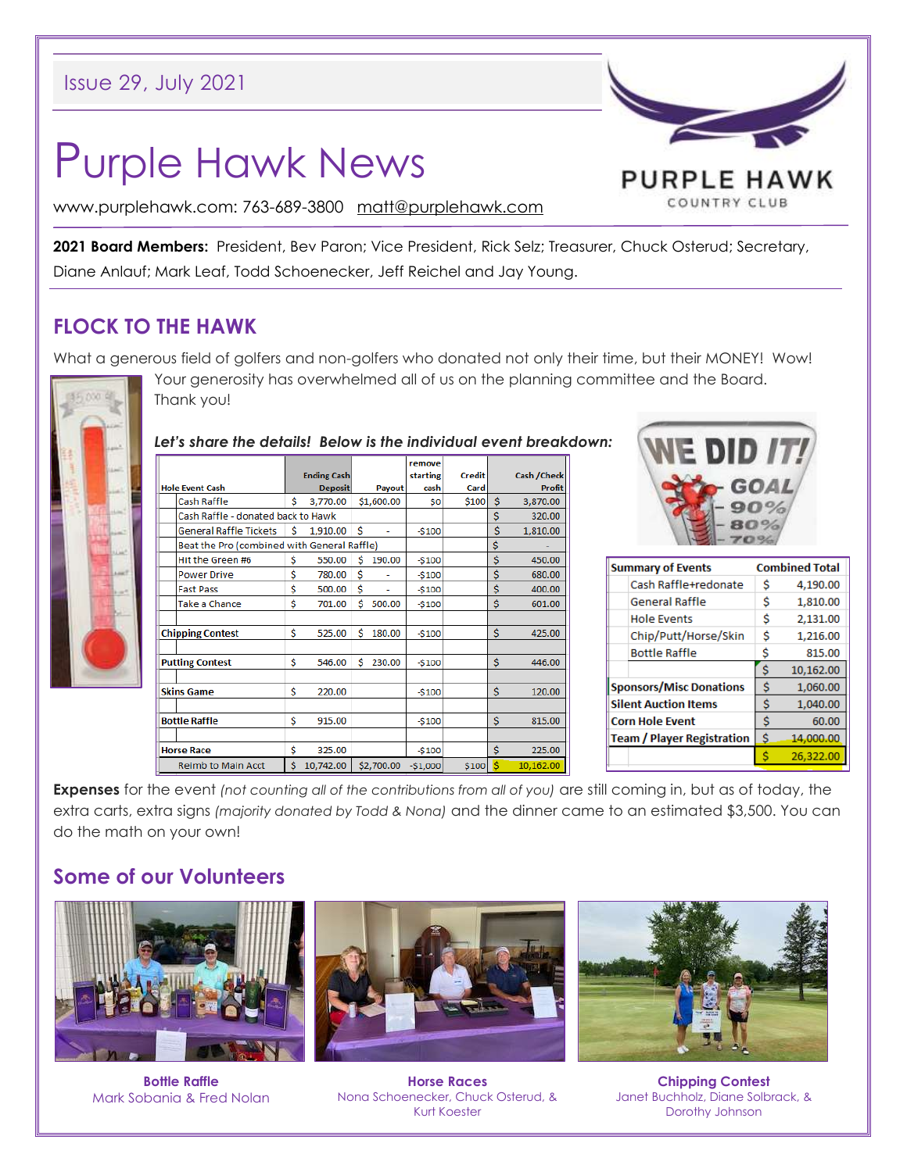# Purple Hawk News

PURPLE HAWK COUNTRY CLUB

www.purplehawk.com: 763-689-3800 [matt@purplehawk.com](mailto:matt@purplehawk.com)

**2021 Board Members:** President, Bev Paron; Vice President, Rick Selz; Treasurer, Chuck Osterud; Secretary, Diane Anlauf; Mark Leaf, Todd Schoenecker, Jeff Reichel and Jay Young.

## **FLOCK TO THE HAWK**

What a generous field of golfers and non-golfers who donated not only their time, but their MONEY! Wow!



Your generosity has overwhelmed all of us on the planning committee and the Board. Thank you!

#### *Let's share the details! Below is the individual event breakdown:*

|                                             |                               |    |                    |   |            | remove    |               |    |                     |
|---------------------------------------------|-------------------------------|----|--------------------|---|------------|-----------|---------------|----|---------------------|
|                                             |                               |    | <b>Ending Cash</b> |   |            | starting  | <b>Credit</b> |    | <b>Cash / Check</b> |
| <b>Hole Event Cash</b>                      |                               |    | <b>Deposit</b>     |   | Payout     | cash      | Card          |    | <b>Profit</b>       |
|                                             | Cash Raffle                   | Ś  | 3,770.00           |   | \$1,600.00 | \$O       | \$100         | \$ | 3,870.00            |
| Cash Raffle - donated back to Hawk          |                               |    |                    |   |            |           |               | \$ | 320.00              |
|                                             | <b>General Raffle Tickets</b> | Ś  | 1,910.00           | Ś |            | $-$100$   |               | \$ | 1,810.00            |
| Beat the Pro (combined with General Raffle) |                               |    |                    |   |            |           |               | \$ |                     |
|                                             | Hit the Green #6              | Ś  | 550.00             | Ś | 190.00     | $-$100$   |               | Ś  | 450.00              |
|                                             | <b>Power Drive</b>            | \$ | 780.00             | Ś |            | $-5100$   |               | \$ | 680.00              |
|                                             | <b>Fast Pass</b>              | \$ | 500.00             | Ś |            | $-5100$   |               | \$ | 400.00              |
|                                             | Take a Chance                 | \$ | 701.00             | Ś | 500.00     | $-$100$   |               | \$ | 601.00              |
|                                             |                               |    |                    |   |            |           |               |    |                     |
| <b>Chipping Contest</b>                     |                               | \$ | 525.00             | Ś | 180.00     | $-5100$   |               | \$ | 425.00              |
|                                             |                               |    |                    |   |            |           |               |    |                     |
| <b>Putting Contest</b>                      |                               | \$ | 546.00             | Ś | 230.00     | $-$100$   |               | \$ | 446.00              |
|                                             |                               |    |                    |   |            |           |               |    |                     |
| <b>Skins Game</b>                           |                               | \$ | 220.00             |   |            | $-$100$   |               | \$ | 120.00              |
|                                             |                               |    |                    |   |            |           |               |    |                     |
| <b>Bottle Raffle</b>                        |                               | \$ | 915.00             |   |            | $-$100$   |               | \$ | 815.00              |
|                                             |                               |    |                    |   |            |           |               |    |                     |
| <b>Horse Race</b>                           |                               | \$ | 325.00             |   |            | $-5100$   |               | Ś  | 225.00              |
| <b>Reimb to Main Acct</b>                   |                               | Ś  | 10,742.00          |   | \$2,700.00 | $-$1,000$ | \$100         | Ś  | 10,162.00           |
|                                             |                               |    |                    |   |            |           |               |    |                     |



| <b>Summary of Events</b>          | <b>Combined Total</b> |           |  |  |  |
|-----------------------------------|-----------------------|-----------|--|--|--|
| Cash Raffle+redonate              | Ŝ                     | 4,190.00  |  |  |  |
| <b>General Raffle</b>             | Ś                     | 1,810.00  |  |  |  |
| <b>Hole Events</b>                | Ś                     | 2,131.00  |  |  |  |
| Chip/Putt/Horse/Skin              | Ŝ                     | 1,216.00  |  |  |  |
| <b>Bottle Raffle</b>              | s                     | 815.00    |  |  |  |
|                                   | Ś                     | 10,162.00 |  |  |  |
| <b>Sponsors/Misc Donations</b>    | Ś                     | 1,060.00  |  |  |  |
| <b>Silent Auction Items</b>       | Ś                     | 1,040.00  |  |  |  |
| <b>Corn Hole Event</b>            | Ś                     | 60.00     |  |  |  |
| <b>Team / Player Registration</b> | Ŝ                     | 14,000.00 |  |  |  |
|                                   |                       | 26.322.00 |  |  |  |

**Expenses** for the event *(not counting all of the contributions from all of you)* are still coming in, but as of today, the extra carts, extra signs *(majority donated by Todd & Nona)* and the dinner came to an estimated \$3,500. You can do the math on your own!

# **Some of our Volunteers**



**Bottle Raffle** Mark Sobania & Fred Nolan



**Horse Races** Nona Schoenecker, Chuck Osterud, & Kurt Koester



**Chipping Contest** Janet Buchholz, Diane Solbrack, & Dorothy Johnson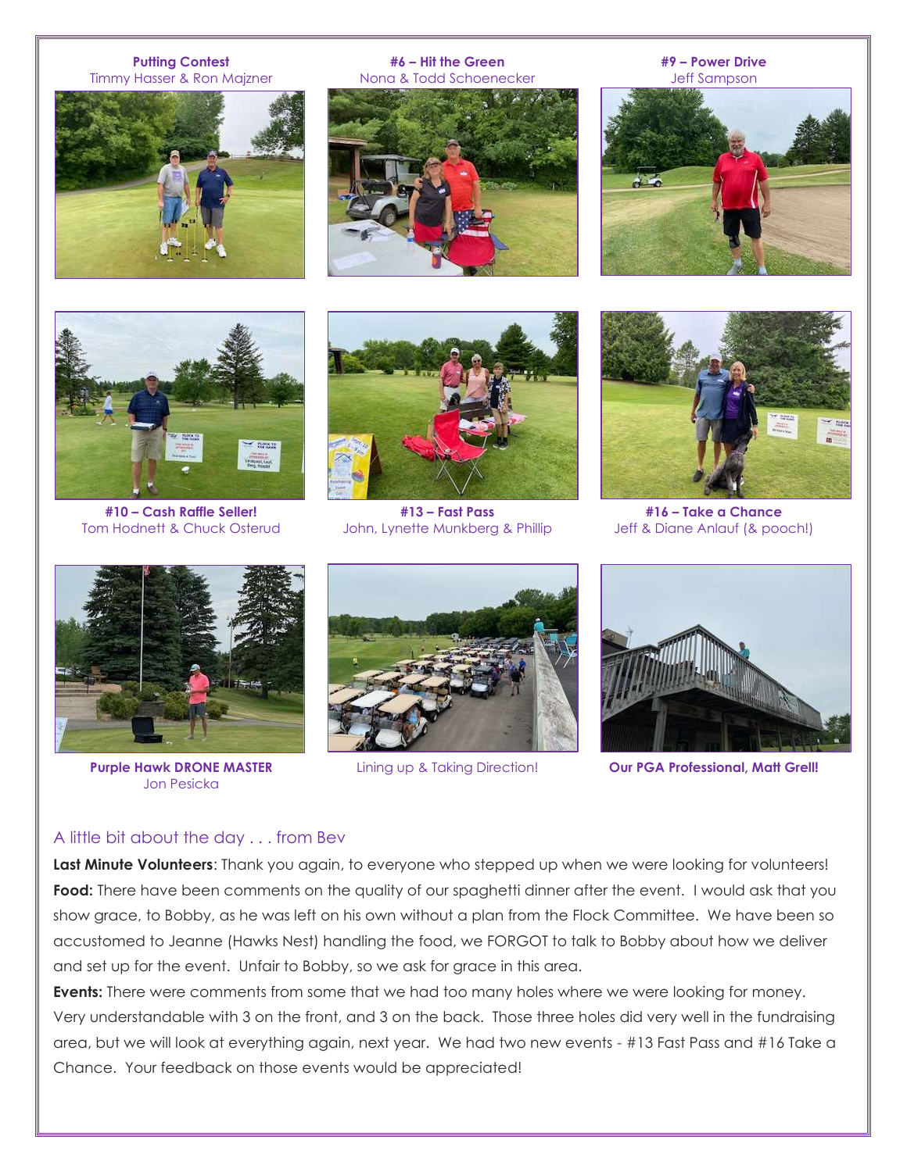#### **Putting Contest** Timmy Hasser & Ron Majzner



**#6 – Hit the Green** Nona & Todd Schoenecker



**#9 – Power Drive** Jeff Sampson





**#10 – Cash Raffle Seller!** Tom Hodnett & Chuck Osterud



**#13 – Fast Pass** John, Lynette Munkberg & Phillip



**#16 – Take a Chance** Jeff & Diane Anlauf (& pooch!)



**Purple Hawk DRONE MASTER** Jon Pesicka





Lining up & Taking Direction! **Our PGA Professional, Matt Grell!**

#### A little bit about the day . . . from Bev

**Last Minute Volunteers**: Thank you again, to everyone who stepped up when we were looking for volunteers! **Food:** There have been comments on the quality of our spaghetti dinner after the event. I would ask that you show grace, to Bobby, as he was left on his own without a plan from the Flock Committee. We have been so accustomed to Jeanne (Hawks Nest) handling the food, we FORGOT to talk to Bobby about how we deliver and set up for the event. Unfair to Bobby, so we ask for grace in this area.

**Events:** There were comments from some that we had too many holes where we were looking for money. Very understandable with 3 on the front, and 3 on the back. Those three holes did very well in the fundraising area, but we will look at everything again, next year. We had two new events - #13 Fast Pass and #16 Take a Chance. Your feedback on those events would be appreciated!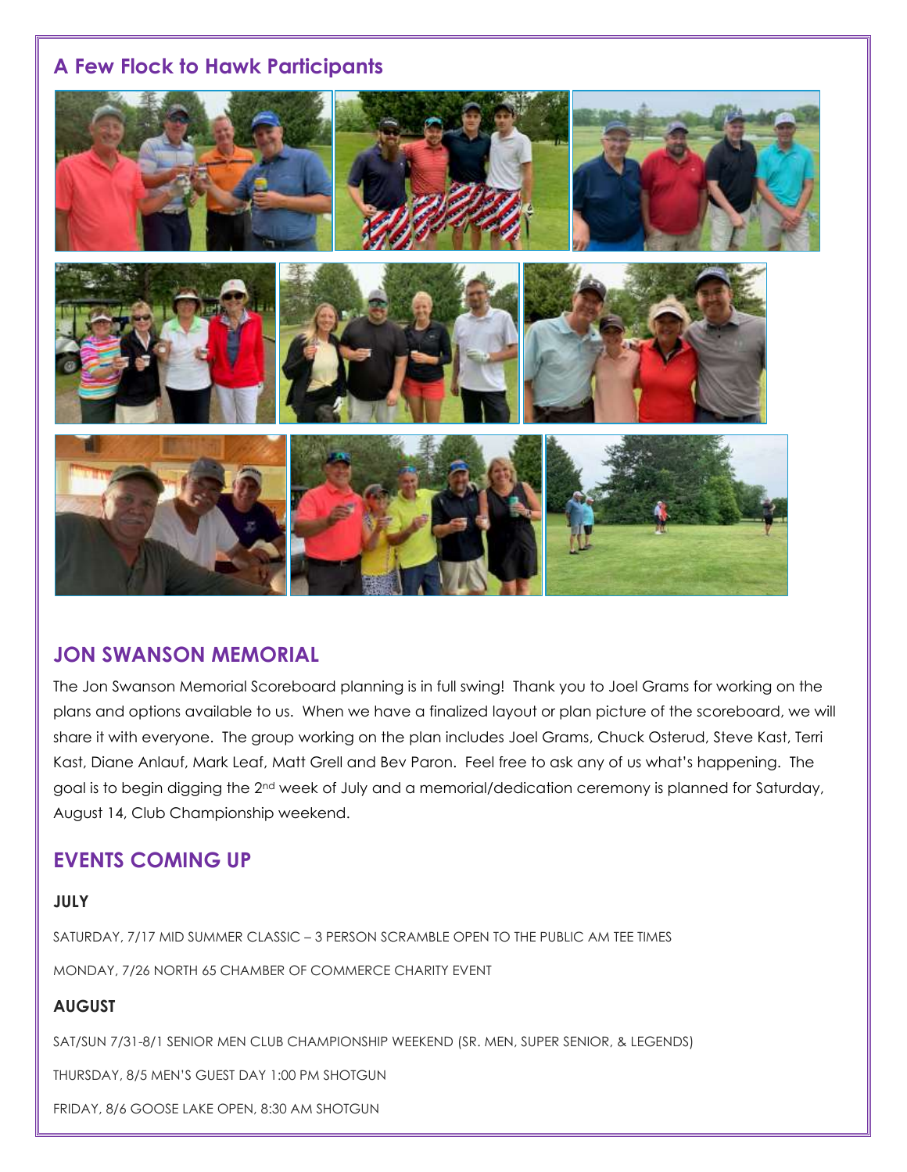## **A Few Flock to Hawk Participants**



## **JON SWANSON MEMORIAL**

The Jon Swanson Memorial Scoreboard planning is in full swing! Thank you to Joel Grams for working on the plans and options available to us. When we have a finalized layout or plan picture of the scoreboard, we will share it with everyone. The group working on the plan includes Joel Grams, Chuck Osterud, Steve Kast, Terri Kast, Diane Anlauf, Mark Leaf, Matt Grell and Bev Paron. Feel free to ask any of us what's happening. The goal is to begin digging the 2<sup>nd</sup> week of July and a memorial/dedication ceremony is planned for Saturday, August 14, Club Championship weekend.

## **EVENTS COMING UP**

## **JULY**

SATURDAY, 7/17 MID SUMMER CLASSIC – 3 PERSON SCRAMBLE OPEN TO THE PUBLIC AM TEE TIMES MONDAY, 7/26 NORTH 65 CHAMBER OF COMMERCE CHARITY EVENT

## **AUGUST**

SAT/SUN 7/31-8/1 SENIOR MEN CLUB CHAMPIONSHIP WEEKEND (SR. MEN, SUPER SENIOR, & LEGENDS)

THURSDAY, 8/5 MEN'S GUEST DAY 1:00 PM SHOTGUN

FRIDAY, 8/6 GOOSE LAKE OPEN, 8:30 AM SHOTGUN